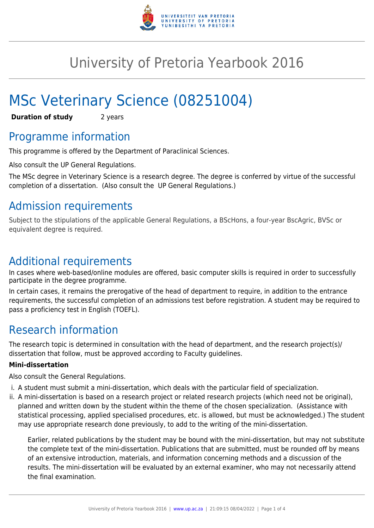

## University of Pretoria Yearbook 2016

# MSc Veterinary Science (08251004)

**Duration of study** 2 years

### Programme information

This programme is offered by the Department of Paraclinical Sciences.

Also consult the UP General Regulations.

The MSc degree in Veterinary Science is a research degree. The degree is conferred by virtue of the successful completion of a dissertation. (Also consult the UP General Regulations.)

### Admission requirements

Subject to the stipulations of the applicable General Regulations, a BScHons, a four-year BscAgric, BVSc or equivalent degree is required.

### Additional requirements

In cases where web-based/online modules are offered, basic computer skills is required in order to successfully participate in the degree programme.

In certain cases, it remains the prerogative of the head of department to require, in addition to the entrance requirements, the successful completion of an admissions test before registration. A student may be required to pass a proficiency test in English (TOEFL).

### Research information

The research topic is determined in consultation with the head of department, and the research project(s)/ dissertation that follow, must be approved according to Faculty guidelines.

#### **Mini-dissertation**

Also consult the General Regulations.

- i. A student must submit a mini-dissertation, which deals with the particular field of specialization.
- ii. A mini-dissertation is based on a research project or related research projects (which need not be original), planned and written down by the student within the theme of the chosen specialization. (Assistance with statistical processing, applied specialised procedures, etc. is allowed, but must be acknowledged.) The student may use appropriate research done previously, to add to the writing of the mini-dissertation.

Earlier, related publications by the student may be bound with the mini-dissertation, but may not substitute the complete text of the mini-dissertation. Publications that are submitted, must be rounded off by means of an extensive introduction, materials, and information concerning methods and a discussion of the results. The mini-dissertation will be evaluated by an external examiner, who may not necessarily attend the final examination.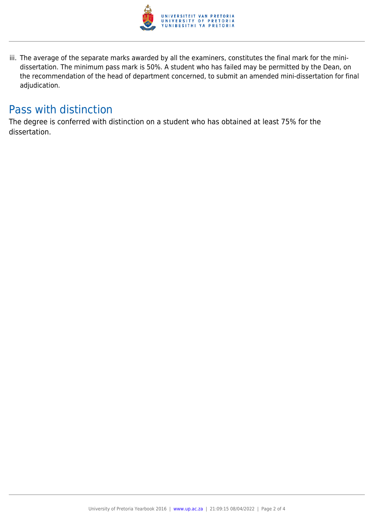

iii. The average of the separate marks awarded by all the examiners, constitutes the final mark for the minidissertation. The minimum pass mark is 50%. A student who has failed may be permitted by the Dean, on the recommendation of the head of department concerned, to submit an amended mini-dissertation for final adjudication.

### Pass with distinction

The degree is conferred with distinction on a student who has obtained at least 75% for the dissertation.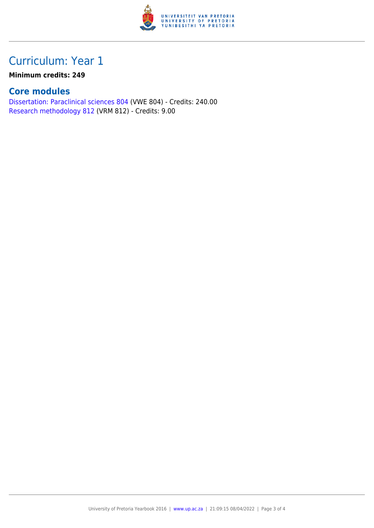

### Curriculum: Year 1

#### **Minimum credits: 249**

#### **Core modules**

[Dissertation: Paraclinical sciences 804](https://www.up.ac.za/parents/yearbooks/2016/modules/view/VWE 804) (VWE 804) - Credits: 240.00 [Research methodology 812](https://www.up.ac.za/parents/yearbooks/2016/modules/view/VRM 812) (VRM 812) - Credits: 9.00